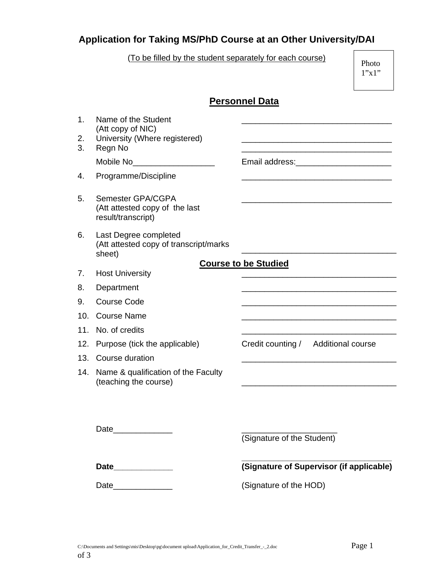## **Application for Taking MS/PhD Course at an Other University/DAI**

(To be filled by the student separately for each course)

 Photo 1"x1"

|                            |                                                                                      | Personnel Data                           |  |  |  |  |  |
|----------------------------|--------------------------------------------------------------------------------------|------------------------------------------|--|--|--|--|--|
| $\mathbf{1}$ .<br>2.<br>3. | Name of the Student<br>(Att copy of NIC)<br>University (Where registered)<br>Regn No |                                          |  |  |  |  |  |
|                            | Mobile No <sub>____</sub> _________________                                          | Email address: Management Contract Press |  |  |  |  |  |
| 4.                         | Programme/Discipline                                                                 |                                          |  |  |  |  |  |
| 5.                         | Semester GPA/CGPA<br>(Att attested copy of the last<br>result/transcript)            |                                          |  |  |  |  |  |
| 6.                         | Last Degree completed<br>(Att attested copy of transcript/marks<br>sheet)            |                                          |  |  |  |  |  |
| 7.                         | <b>Course to be Studied</b><br><b>Host University</b>                                |                                          |  |  |  |  |  |
| 8.                         | Department                                                                           |                                          |  |  |  |  |  |
| 9.                         | <b>Course Code</b>                                                                   |                                          |  |  |  |  |  |
| 10.                        | <b>Course Name</b>                                                                   |                                          |  |  |  |  |  |
| 11.                        | No. of credits                                                                       |                                          |  |  |  |  |  |
| 12.                        | Purpose (tick the applicable)                                                        | Credit counting / Additional course      |  |  |  |  |  |
| 13.                        | Course duration                                                                      |                                          |  |  |  |  |  |
| 14.                        | Name & qualification of the Faculty<br>(teaching the course)                         |                                          |  |  |  |  |  |
|                            |                                                                                      | (Signature of the Student)               |  |  |  |  |  |
|                            |                                                                                      | (Signature of Supervisor (if applicable) |  |  |  |  |  |
|                            |                                                                                      | (Signature of the HOD)                   |  |  |  |  |  |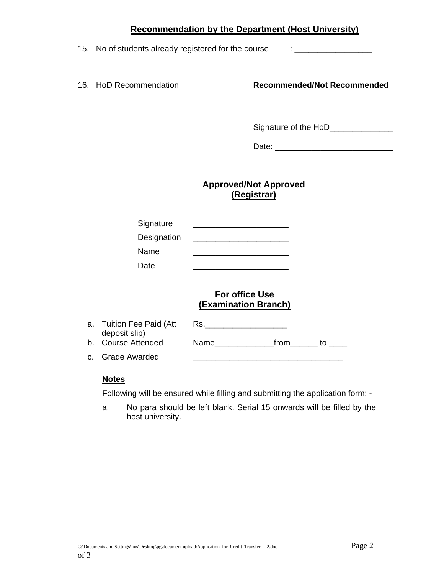## **Recommendation by the Department (Host University)**

15. No of students already registered for the course : **\_\_\_\_\_\_\_\_\_\_\_\_\_\_\_\_\_** 

16. HoD Recommendation **Recommended/Not Recommended**

Signature of the HoD\_\_\_\_\_\_\_\_\_\_\_\_\_\_\_

Date: \_\_\_\_\_\_\_\_\_\_\_\_\_\_\_\_\_\_\_\_\_\_\_\_\_\_

**Approved/Not Approved (Registrar)**

| Signature   |  |
|-------------|--|
| Designation |  |
| Name        |  |
| Date        |  |

## **For office Use (Examination Branch)**

| a. Tuition Fee Paid (Att | Rs.  |      |  |
|--------------------------|------|------|--|
| deposit slip)            |      |      |  |
| b. Course Attended       | Name | trom |  |
| c. Grade Awarded         |      |      |  |

## **Notes**

Following will be ensured while filling and submitting the application form: -

a. No para should be left blank. Serial 15 onwards will be filled by the host university.